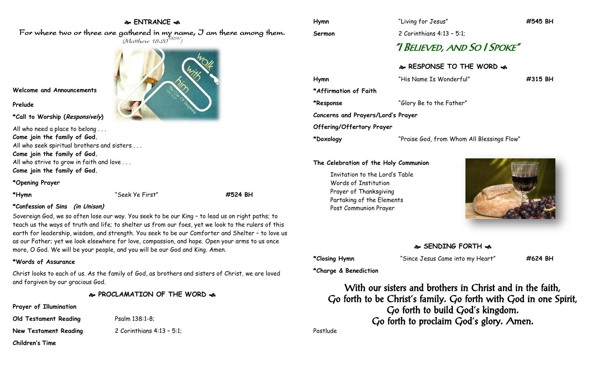## **ENTRANCE**

For where two or three are gathered in my name, I am there among them.  $(M$ atthew 18:20 $^{NRSV})$ 



**Welcome and Announcements**

#### **Prelude**

**\*Call to Worship (Responsively)** 

All who need a place to belong . . . **Come join the family of God.** All who seek spiritual brothers and sisters . . . **Come join the family of God.** All who strive to grow in faith and love . . . **Come join the family of God.**

**\*Opening Prayer**

**\*Hymn** "Seek Ye First" **#524 BH**

### **\*Confession of Sins (in Unison)**

Sovereign God, we so often lose our way. You seek to be our King – to lead us on right paths; to teach us the ways of truth and life; to shelter us from our foes, yet we look to the rulers of this earth for leadership, wisdom, and strength. You seek to be our Comforter and Shelter – to love us as our Father; yet we look elsewhere for love, compassion, and hope. Open your arms to us once more, O God. We will be your people, and you will be our God and King. Amen.

### **\*Words of Assurance**

Christ looks to each of us. As the family of God, as brothers and sisters of Christ, we are loved and forgiven by our gracious God.

**PROCLAMATION OF THE WORD** 

**Prayer of Illumination**

**Children's Time**

**Old Testament Reading Psalm 138:1-8;** 

**New Testament Reading** 2 Corinthians 4:13 – 5:1;

**Sermon** 2 Corinthians 4:13 – 5:1;

# "I BELIEVED, AND SO I SPOKE"

## **RESPONSE TO THE WORD**

| Hymn                               | "His Name Is Wonderful"                    | $\#315$ BH |
|------------------------------------|--------------------------------------------|------------|
| *Affirmation of Faith              |                                            |            |
| *Response                          | "Glory Be to the Father"                   |            |
| Concerns and Prayers/Lord's Prayer |                                            |            |
| Offering/Offertory Prayer          |                                            |            |
| *Doxology                          | "Praise God, from Whom All Blessings Flow" |            |

#### **The Celebration of the Holy Communion**

Invitation to the Lord's Table Words of Institution Prayer of Thanksgiving Partaking of the Elements Post Communion Prayer



# **SENDING FORTH**

**\*Closing Hymn** "Since Jesus Came into my Heart" **#624 BH**

**\*Charge & Benediction**

With our sisters and brothers in Christ and in the faith, Go forth to be Christ's family. Go forth with God in one Spirit, Go forth to build God's kingdom. Go forth to proclaim God's glory. Amen.

Postlude